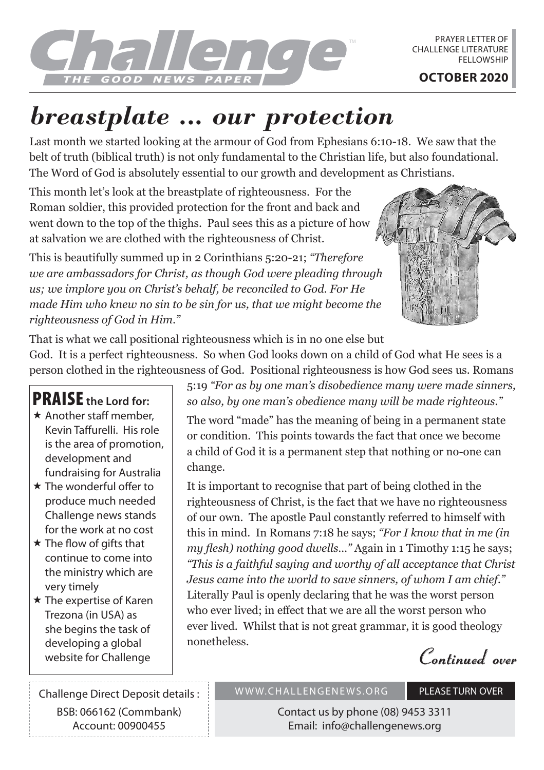

PRAYER LETTER OF CHALLENGE LITERATURE **FELLOWSHIP** 

## *breastplate ... our protection*

Last month we started looking at the armour of God from Ephesians 6:10-18. We saw that the belt of truth (biblical truth) is not only fundamental to the Christian life, but also foundational. The Word of God is absolutely essential to our growth and development as Christians.

This month let's look at the breastplate of righteousness. For the Roman soldier, this provided protection for the front and back and went down to the top of the thighs. Paul sees this as a picture of how at salvation we are clothed with the righteousness of Christ.

This is beautifully summed up in 2 Corinthians 5:20-21; *"Therefore we are ambassadors for Christ, as though God were pleading through us; we implore you on Christ's behalf, be reconciled to God. For He made Him who knew no sin to be sin for us, that we might become the righteousness of God in Him."*



That is what we call positional righteousness which is in no one else but God. It is a perfect righteousness. So when God looks down on a child of God what He sees is a person clothed in the righteousness of God. Positional righteousness is how God sees us. Romans

## PRAISE **the Lord for:**

- $\star$  Another staff member. Kevin Taffurelli. His role is the area of promotion, development and fundraising for Australia
- $\star$  The wonderful offer to produce much needed Challenge news stands for the work at no cost
- $\star$  The flow of gifts that continue to come into the ministry which are very timely
- $\star$  The expertise of Karen Trezona (in USA) as she begins the task of developing a global website for Challenge

Challenge Direct Deposit details : BSB: 066162 (Commbank) Account: 00900455

5:19 *"For as by one man's disobedience many were made sinners, so also, by one man's obedience many will be made righteous."*

The word "made" has the meaning of being in a permanent state or condition. This points towards the fact that once we become a child of God it is a permanent step that nothing or no-one can change.

It is important to recognise that part of being clothed in the righteousness of Christ, is the fact that we have no righteousness of our own. The apostle Paul constantly referred to himself with this in mind. In Romans 7:18 he says; *"For I know that in me (in my flesh) nothing good dwells…"* Again in 1 Timothy 1:15 he says; *"This is a faithful saying and worthy of all acceptance that Christ Jesus came into the world to save sinners, of whom I am chief."*  Literally Paul is openly declaring that he was the worst person who ever lived; in effect that we are all the worst person who ever lived. Whilst that is not great grammar, it is good theology nonetheless.

**Continued over**

WWW.CHALLENGENEWS.ORG PLEASE TURN OVER

Contact us by phone (08) 9453 3311 Email: info@challengenews.org